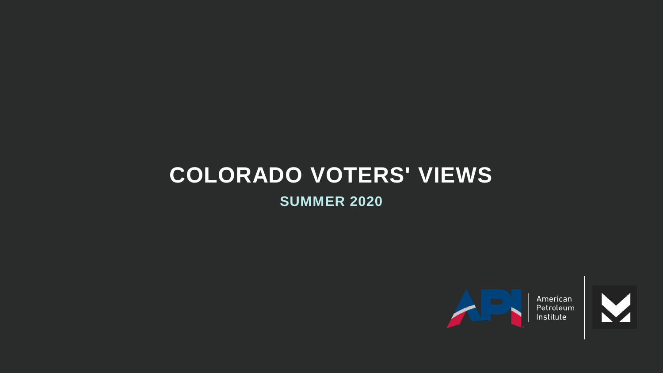# **COLORADO VOTERS' VIEWS**

**SUMMER 2020**



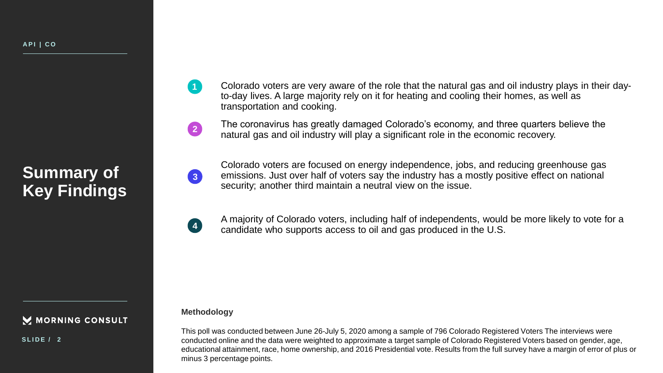**Summary of Key Findings**

#### M MORNING CONSULT

**S L I D E / 2**

- Colorado voters are very aware of the role that the natural gas and oil industry plays in their dayto-day lives. A large majority rely on it for heating and cooling their homes, as well as transportation and cooking.
- The coronavirus has greatly damaged Colorado's economy, and three quarters believe the natural gas and oil industry will play a significant role in the economic recovery.

Colorado voters are focused on energy independence, jobs, and reducing greenhouse gas emissions. Just over half of voters say the industry has a mostly positive effect on national security; another third maintain a neutral view on the issue.

A majority of Colorado voters, including half of independents, would be more likely to vote for a candidate who supports access to oil and gas produced in the U.S.

#### **Methodology**

**1**

**2**

**3**

**4**

This poll was conducted between June 26-July 5, 2020 among a sample of 796 Colorado Registered Voters The interviews were conducted online and the data were weighted to approximate a target sample of Colorado Registered Voters based on gender, age, educational attainment, race, home ownership, and 2016 Presidential vote. Results from the full survey have a margin of error of plus or minus 3 percentage points.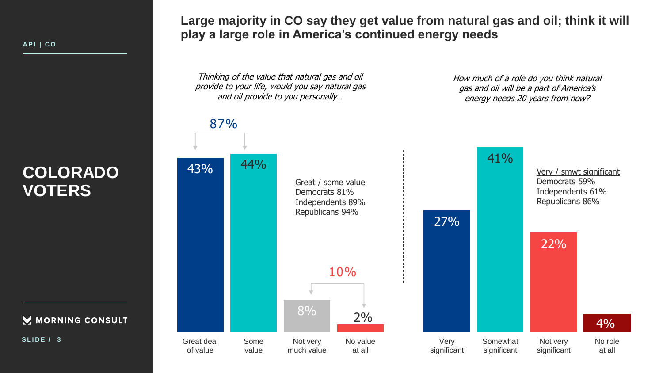M MORNING CONSULT

**S L I D E / 3**

**Large majority in CO say they get value from natural gas and oil; think it will play a large role in America's continued energy needs**

Thinking of the value that natural gas and oil provide to your life, would you say natural gas and oil provide to you personally…

How much of a role do you think natural gas and oil will be a part of America's energy needs 20 years from now?

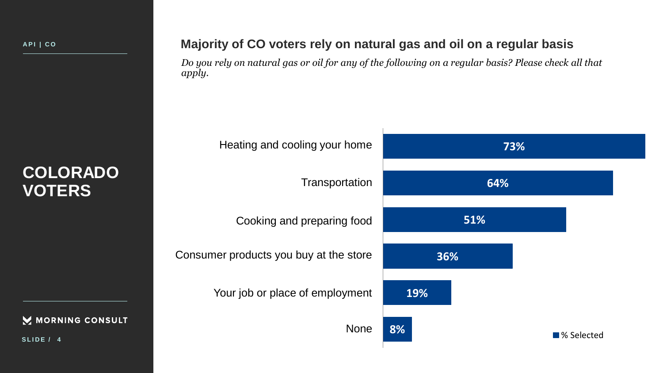**Majority of CO voters rely on natural gas and oil on a regular basis**

*Do you rely on natural gas or oil for any of the following on a regular basis? Please check all that apply.*

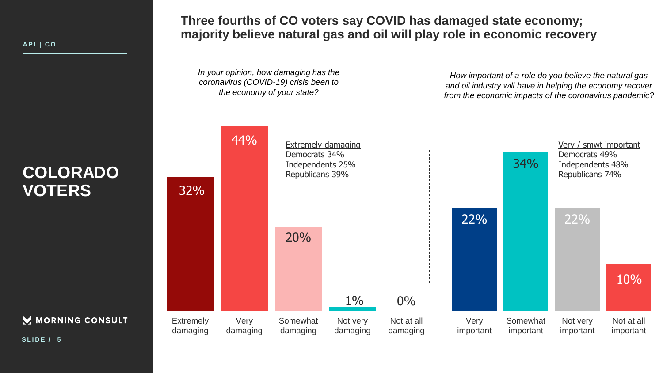M MORNING CONSULT

**Three fourths of CO voters say COVID has damaged state economy; majority believe natural gas and oil will play role in economic recovery**

*In your opinion, how damaging has the coronavirus (COVID-19) crisis been to the economy of your state?*

*How important of a role do you believe the natural gas and oil industry will have in helping the economy recover from the economic impacts of the coronavirus pandemic?*



**S L I D E / 5**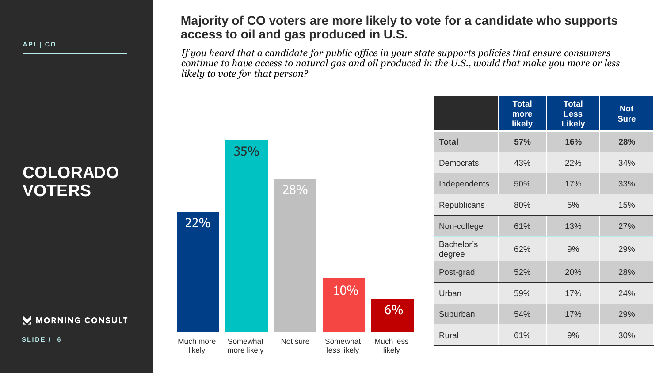**A P I | C O**

#### **Majority of CO voters are more likely to vote for a candidate who supports access to oil and gas produced in U.S.**

*If you heard that a candidate for public office in your state supports policies that ensure consumers continue to have access to natural gas and oil produced in the U.S., would that make you more or less likely to vote for that person?*

|                      | <b>Total</b><br>more<br><b>likely</b> | <b>Total</b><br><b>Less</b><br><b>Likely</b> | <b>Not</b><br><b>Sure</b> |
|----------------------|---------------------------------------|----------------------------------------------|---------------------------|
| <b>Total</b>         | 57%                                   | 16%                                          | 28%                       |
| Democrats            | 43%                                   | 22%                                          | 34%                       |
| Independents         | 50%                                   | 17%                                          | 33%                       |
| Republicans          | 80%                                   | 5%                                           | 15%                       |
| Non-college          | 61%                                   | 13%                                          | 27%                       |
| Bachelor's<br>degree | 62%                                   | 9%                                           | 29%                       |
| Post-grad            | 52%                                   | 20%                                          | 28%                       |
| Urban                | 59%                                   | 17%                                          | 24%                       |
| Suburban             | 54%                                   | 17%                                          | 29%                       |
| <b>Rural</b>         | 61%                                   | 9%                                           | 30%                       |

## **COLORADO VOTERS**

MORNING CONSULT

**S L I D E / 6**

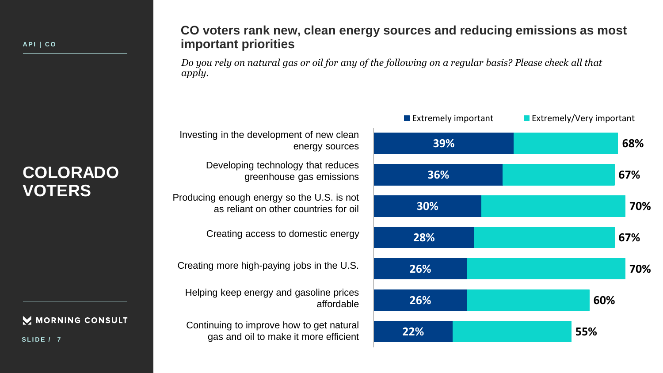M MORNING CONSULT

**S L I D E / 7**

#### **CO voters rank new, clean energy sources and reducing emissions as most important priorities**

*Do you rely on natural gas or oil for any of the following on a regular basis? Please check all that apply.*

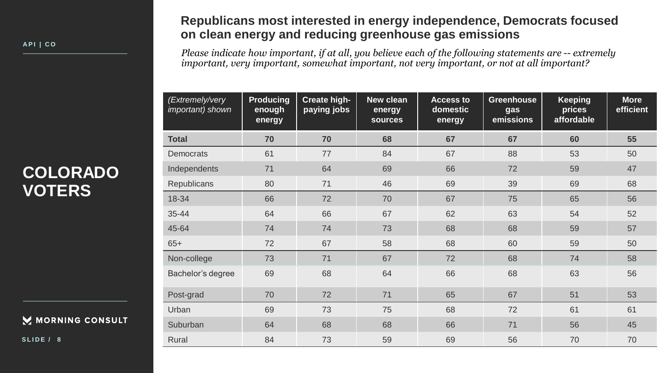MORNING CONSULT

**S L I D E / 8**

### **Republicans most interested in energy independence, Democrats focused on clean energy and reducing greenhouse gas emissions**

*Please indicate how important, if at all, you believe each of the following statements are -- extremely important, very important, somewhat important, not very important, or not at all important?*

| (Extremely/very<br>important) shown | <b>Producing</b><br>enough<br>energy | <b>Create high-</b><br>paying jobs | New clean<br>energy<br><b>sources</b> | <b>Access to</b><br>domestic<br>energy | <b>Greenhouse</b><br>gas<br>emissions | <b>Keeping</b><br>prices<br>affordable | <b>More</b><br>efficient |
|-------------------------------------|--------------------------------------|------------------------------------|---------------------------------------|----------------------------------------|---------------------------------------|----------------------------------------|--------------------------|
| <b>Total</b>                        | 70                                   | 70                                 | 68                                    | 67                                     | 67                                    | 60                                     | 55                       |
| <b>Democrats</b>                    | 61                                   | 77                                 | 84                                    | 67                                     | 88                                    | 53                                     | 50                       |
| Independents                        | 71                                   | 64                                 | 69                                    | 66                                     | 72                                    | 59                                     | 47                       |
| <b>Republicans</b>                  | 80                                   | 71                                 | 46                                    | 69                                     | 39                                    | 69                                     | 68                       |
| 18-34                               | 66                                   | 72                                 | 70                                    | 67                                     | 75                                    | 65                                     | 56                       |
| 35-44                               | 64                                   | 66                                 | 67                                    | 62                                     | 63                                    | 54                                     | 52                       |
| 45-64                               | 74                                   | 74                                 | 73                                    | 68                                     | 68                                    | 59                                     | 57                       |
| $65+$                               | 72                                   | 67                                 | 58                                    | 68                                     | 60                                    | 59                                     | 50                       |
| Non-college                         | 73                                   | 71                                 | 67                                    | 72                                     | 68                                    | 74                                     | 58                       |
| Bachelor's degree                   | 69                                   | 68                                 | 64                                    | 66                                     | 68                                    | 63                                     | 56                       |
| Post-grad                           | 70                                   | 72                                 | 71                                    | 65                                     | 67                                    | 51                                     | 53                       |
| Urban                               | 69                                   | 73                                 | 75                                    | 68                                     | 72                                    | 61                                     | 61                       |
| Suburban                            | 64                                   | 68                                 | 68                                    | 66                                     | 71                                    | 56                                     | 45                       |
| Rural                               | 84                                   | 73                                 | 59                                    | 69                                     | 56                                    | 70                                     | 70                       |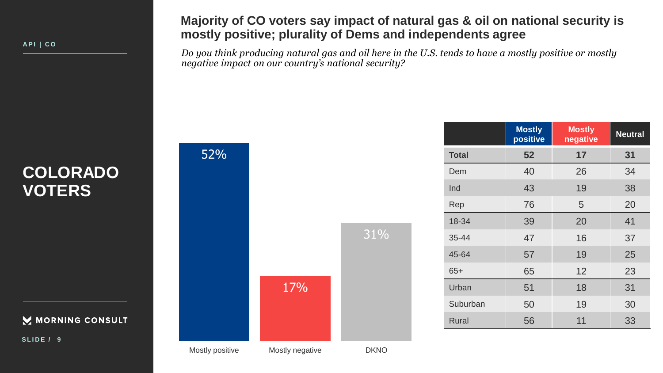**A P I | C O**

### **Majority of CO voters say impact of natural gas & oil on national security is mostly positive; plurality of Dems and independents agree**

*Do you think producing natural gas and oil here in the U.S. tends to have a mostly positive or mostly negative impact on our country's national security?*

# **COLORADO VOTERS**

MORNING CONSULT

**S L I D E / 9**

|                 | 17%             | 31%         |
|-----------------|-----------------|-------------|
| Mostly positive | Mostly negative | <b>DKNO</b> |

52%

|              | <b>Mostly</b><br>positive | <b>Mostly</b><br>negative | <b>Neutral</b> |
|--------------|---------------------------|---------------------------|----------------|
| <b>Total</b> | 52                        | 17                        | 31             |
| Dem          | 40                        | 26                        | 34             |
| Ind          | 43                        | 19                        | 38             |
| Rep          | 76                        | 5                         | 20             |
| 18-34        | 39                        | 20                        | 41             |
| 35-44        | 47                        | 16                        | 37             |
| 45-64        | 57                        | 19                        | 25             |
| $65+$        | 65                        | 12                        | 23             |
| Urban        | 51                        | 18                        | 31             |
| Suburban     | 50                        | 19                        | 30             |
| <b>Rural</b> | 56                        | 11                        | 33             |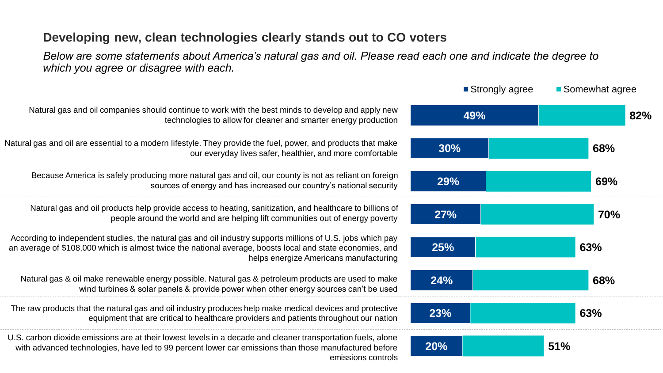### **Developing new, clean technologies clearly stands out to CO voters**

*Below are some statements about America's natural gas and oil. Please read each one and indicate the degree to which you agree or disagree with each.*

|                                                                                                                                                                                                                                                                    | ■ Strongly agree | ■ Somewhat agree |
|--------------------------------------------------------------------------------------------------------------------------------------------------------------------------------------------------------------------------------------------------------------------|------------------|------------------|
| Natural gas and oil companies should continue to work with the best minds to develop and apply new<br>technologies to allow for cleaner and smarter energy production                                                                                              | 49%              | 82%              |
| Natural gas and oil are essential to a modern lifestyle. They provide the fuel, power, and products that make<br>our everyday lives safer, healthier, and more comfortable                                                                                         | 30%              | 68%              |
| Because America is safely producing more natural gas and oil, our county is not as reliant on foreign<br>sources of energy and has increased our country's national security                                                                                       | <b>29%</b>       | 69%              |
| Natural gas and oil products help provide access to heating, sanitization, and healthcare to billions of<br>people around the world and are helping lift communities out of energy poverty                                                                         | 27%              | <b>70%</b>       |
| According to independent studies, the natural gas and oil industry supports millions of U.S. jobs which pay<br>an average of \$108,000 which is almost twice the national average, boosts local and state economies, and<br>helps energize Americans manufacturing | <b>25%</b>       | 63%              |
| Natural gas & oil make renewable energy possible. Natural gas & petroleum products are used to make<br>wind turbines & solar panels & provide power when other energy sources can't be used                                                                        | 24%              | 68%              |
| The raw products that the natural gas and oil industry produces help make medical devices and protective<br>equipment that are critical to healthcare providers and patients throughout our nation                                                                 | 23%              | 63%              |
| U.S. carbon dioxide emissions are at their lowest levels in a decade and cleaner transportation fuels, alone<br>with advanced technologies, have led to 99 percent lower car emissions than those manufactured before<br>emissions controls                        | 20%              | 51%              |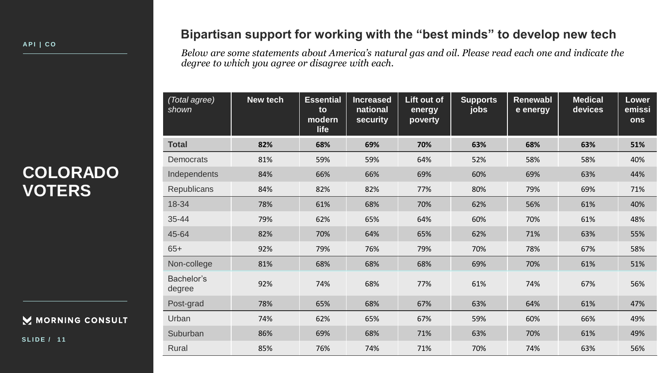#### MORNING CONSULT

**S L I D E / 1 1**

### **Bipartisan support for working with the "best minds" to develop new tech**

*Below are some statements about America's natural gas and oil. Please read each one and indicate the degree to which you agree or disagree with each.*

| (Total agree)<br>shown | New tech | <b>Essential</b><br>to<br>modern<br>life | <b>Increased</b><br>national<br>security | Lift out of<br>energy<br>poverty | <b>Supports</b><br>jobs | <b>Renewabl</b><br>e energy | <b>Medical</b><br>devices | <b>Lower</b><br>emissi<br>ons |
|------------------------|----------|------------------------------------------|------------------------------------------|----------------------------------|-------------------------|-----------------------------|---------------------------|-------------------------------|
| <b>Total</b>           | 82%      | 68%                                      | 69%                                      | 70%                              | 63%                     | 68%                         | 63%                       | 51%                           |
| <b>Democrats</b>       | 81%      | 59%                                      | 59%                                      | 64%                              | 52%                     | 58%                         | 58%                       | 40%                           |
| Independents           | 84%      | 66%                                      | 66%                                      | 69%                              | 60%                     | 69%                         | 63%                       | 44%                           |
| <b>Republicans</b>     | 84%      | 82%                                      | 82%                                      | 77%                              | 80%                     | 79%                         | 69%                       | 71%                           |
| 18-34                  | 78%      | 61%                                      | 68%                                      | 70%                              | 62%                     | 56%                         | 61%                       | 40%                           |
| 35-44                  | 79%      | 62%                                      | 65%                                      | 64%                              | 60%                     | 70%                         | 61%                       | 48%                           |
| 45-64                  | 82%      | 70%                                      | 64%                                      | 65%                              | 62%                     | 71%                         | 63%                       | 55%                           |
| $65+$                  | 92%      | 79%                                      | 76%                                      | 79%                              | 70%                     | 78%                         | 67%                       | 58%                           |
| Non-college            | 81%      | 68%                                      | 68%                                      | 68%                              | 69%                     | 70%                         | 61%                       | 51%                           |
| Bachelor's<br>degree   | 92%      | 74%                                      | 68%                                      | 77%                              | 61%                     | 74%                         | 67%                       | 56%                           |
| Post-grad              | 78%      | 65%                                      | 68%                                      | 67%                              | 63%                     | 64%                         | 61%                       | 47%                           |
| Urban                  | 74%      | 62%                                      | 65%                                      | 67%                              | 59%                     | 60%                         | 66%                       | 49%                           |
| Suburban               | 86%      | 69%                                      | 68%                                      | 71%                              | 63%                     | 70%                         | 61%                       | 49%                           |
| Rural                  | 85%      | 76%                                      | 74%                                      | 71%                              | 70%                     | 74%                         | 63%                       | 56%                           |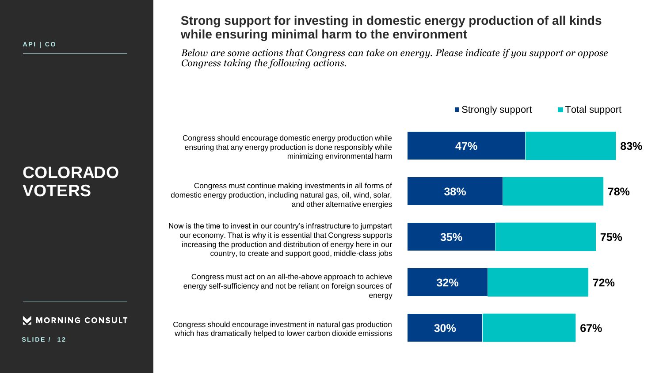#### **Strong support for investing in domestic energy production of all kinds while ensuring minimal harm to the environment**

*Below are some actions that Congress can take on energy. Please indicate if you support or oppose Congress taking the following actions.*



M MORNING CONSULT

**S L I D E / 1 2**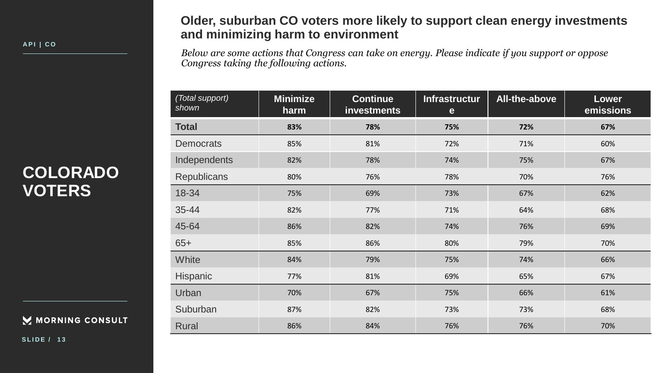#### MORNING CONSULT

**S L I D E / 1 3**

### **Older, suburban CO voters more likely to support clean energy investments and minimizing harm to environment**

*Below are some actions that Congress can take on energy. Please indicate if you support or oppose Congress taking the following actions.*

| (Total support)<br>shown | <b>Minimize</b><br>harm | <b>Continue</b><br><b>investments</b> | Infrastructur<br>e | All-the-above | Lower<br>emissions |
|--------------------------|-------------------------|---------------------------------------|--------------------|---------------|--------------------|
| <b>Total</b>             | 83%                     | 78%                                   | 75%                | 72%           | 67%                |
| <b>Democrats</b>         | 85%                     | 81%                                   | 72%                | 71%           | 60%                |
| Independents             | 82%                     | 78%                                   | 74%                | 75%           | 67%                |
| <b>Republicans</b>       | 80%                     | 76%                                   | 78%                | 70%           | 76%                |
| 18-34                    | 75%                     | 69%                                   | 73%                | 67%           | 62%                |
| 35-44                    | 82%                     | 77%                                   | 71%                | 64%           | 68%                |
| 45-64                    | 86%                     | 82%                                   | 74%                | 76%           | 69%                |
| $65+$                    | 85%                     | 86%                                   | 80%                | 79%           | 70%                |
| <b>White</b>             | 84%                     | 79%                                   | 75%                | 74%           | 66%                |
| Hispanic                 | 77%                     | 81%                                   | 69%                | 65%           | 67%                |
| Urban                    | 70%                     | 67%                                   | 75%                | 66%           | 61%                |
| Suburban                 | 87%                     | 82%                                   | 73%                | 73%           | 68%                |
| <b>Rural</b>             | 86%                     | 84%                                   | 76%                | 76%           | 70%                |